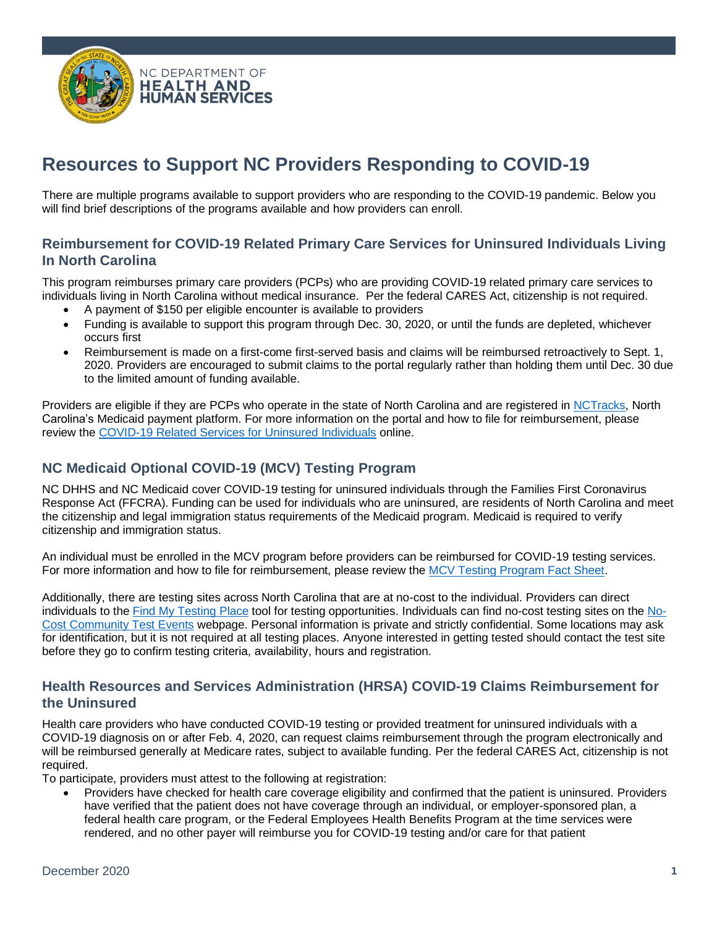

# **Resources to Support NC Providers Responding to COVID-19**

There are multiple programs available to support providers who are responding to the COVID-19 pandemic. Below you will find brief descriptions of the programs available and how providers can enroll.

#### **Reimbursement for COVID-19 Related Primary Care Services for Uninsured Individuals Living In North Carolina**

This program reimburses primary care providers (PCPs) who are providing COVID-19 related primary care services to individuals living in North Carolina without medical insurance. Per the federal CARES Act, citizenship is not required.

- A payment of \$150 per eligible encounter is available to providers
- Funding is available to support this program through Dec. 30, 2020, or until the funds are depleted, whichever occurs first
- Reimbursement is made on a first-come first-served basis and claims will be reimbursed retroactively to Sept. 1, 2020. Providers are encouraged to submit claims to the portal regularly rather than holding them until Dec. 30 due to the limited amount of funding available.

Providers are eligible if they are PCPs who operate in the state of North Carolina and are registered i[n NCTracks,](https://www.nctracks.nc.gov/content/public?version=portal-jwap-trunk-10065-15243-production-VJ1&why=Root) North Carolina's Medicaid payment platform. For more information on the portal and how to file for reimbursement, please review the [COVID-19 Related Services for Uninsured Individuals](https://medicaid.ncdhhs.gov/about-us/covid-19-guidance-and-resources/providers/covid-19-related-services-uninsured-individuals) online.

## **NC Medicaid Optional COVID-19 (MCV) Testing Program**

NC DHHS and NC Medicaid cover COVID-19 testing for uninsured individuals through the Families First Coronavirus Response Act (FFCRA). Funding can be used for individuals who are uninsured, are residents of North Carolina and meet the citizenship and legal immigration status requirements of the Medicaid program. Medicaid is required to verify citizenship and immigration status.

An individual must be enrolled in the MCV program before providers can be reimbursed for COVID-19 testing services. For more information and how to file for reimbursement, please review the [MCV Testing Program Fact Sheet.](https://files.nc.gov/ncdma/covid-19/MCV-FactSheet-20200901.pdf)

Additionally, there are testing sites across North Carolina that are at no-cost to the individual. Providers can direct individuals to the [Find My Testing Place](https://covid19.ncdhhs.gov/about-covid-19/testing/find-my-testing-place) tool for testing opportunities. Individuals can find no-cost testing sites on the [No-](https://covid19.ncdhhs.gov/about-covid-19/testing/find-my-testing-place/pop-testing-sites)[Cost Community Test Events](https://covid19.ncdhhs.gov/about-covid-19/testing/find-my-testing-place/pop-testing-sites) webpage. Personal information is private and strictly confidential. Some locations may ask for identification, but it is not required at all testing places. Anyone interested in getting tested should contact the test site before they go to confirm testing criteria, availability, hours and registration.

### **Health Resources and Services Administration (HRSA) COVID-19 Claims Reimbursement for the Uninsured**

Health care providers who have conducted COVID-19 testing or provided treatment for uninsured individuals with a COVID-19 diagnosis on or after Feb. 4, 2020, can request claims reimbursement through the program electronically and will be reimbursed generally at Medicare rates, subject to available funding. Per the federal CARES Act, citizenship is not required.

To participate, providers must attest to the following at registration:

• Providers have checked for health care coverage eligibility and confirmed that the patient is uninsured. Providers have verified that the patient does not have coverage through an individual, or employer-sponsored plan, a federal health care program, or the Federal Employees Health Benefits Program at the time services were rendered, and no other payer will reimburse you for COVID-19 testing and/or care for that patient